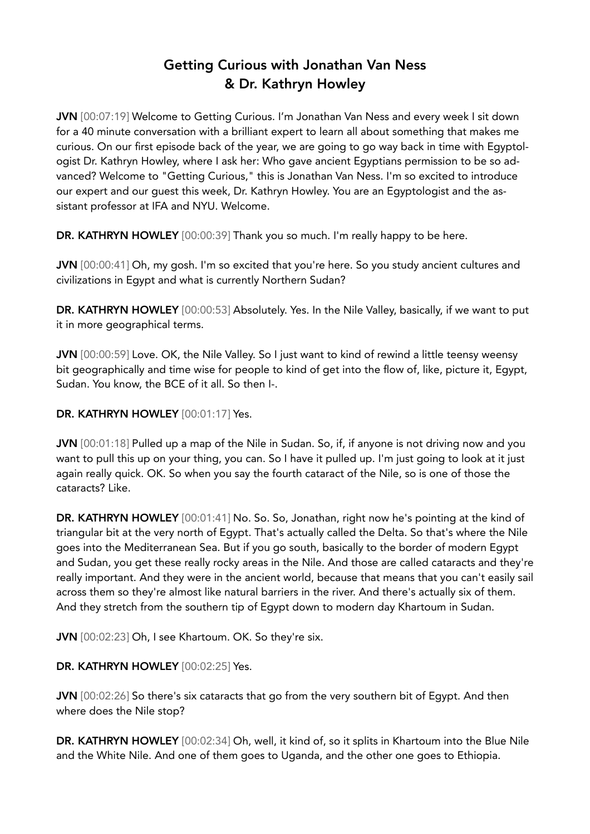# Getting Curious with Jonathan Van Ness & Dr. Kathryn Howley

JVN [00:07:19] Welcome to Getting Curious. I'm Jonathan Van Ness and every week I sit down for a 40 minute conversation with a brilliant expert to learn all about something that makes me curious. On our first episode back of the year, we are going to go way back in time with Egyptologist Dr. Kathryn Howley, where I ask her: Who gave ancient Egyptians permission to be so advanced? Welcome to "Getting Curious," this is Jonathan Van Ness. I'm so excited to introduce our expert and our guest this week, Dr. Kathryn Howley. You are an Egyptologist and the assistant professor at IFA and NYU. Welcome.

DR. KATHRYN HOWLEY [00:00:39] Thank you so much. I'm really happy to be here.

JVN [00:00:41] Oh, my gosh. I'm so excited that you're here. So you study ancient cultures and civilizations in Egypt and what is currently Northern Sudan?

DR. KATHRYN HOWLEY [00:00:53] Absolutely. Yes. In the Nile Valley, basically, if we want to put it in more geographical terms.

JVN [00:00:59] Love. OK, the Nile Valley. So I just want to kind of rewind a little teensy weensy bit geographically and time wise for people to kind of get into the flow of, like, picture it, Egypt, Sudan. You know, the BCE of it all. So then I-.

DR. KATHRYN HOWLEY [00:01:17] Yes.

JVN [00:01:18] Pulled up a map of the Nile in Sudan. So, if, if anyone is not driving now and you want to pull this up on your thing, you can. So I have it pulled up. I'm just going to look at it just again really quick. OK. So when you say the fourth cataract of the Nile, so is one of those the cataracts? Like.

DR. KATHRYN HOWLEY [00:01:41] No. So. So, Jonathan, right now he's pointing at the kind of triangular bit at the very north of Egypt. That's actually called the Delta. So that's where the Nile goes into the Mediterranean Sea. But if you go south, basically to the border of modern Egypt and Sudan, you get these really rocky areas in the Nile. And those are called cataracts and they're really important. And they were in the ancient world, because that means that you can't easily sail across them so they're almost like natural barriers in the river. And there's actually six of them. And they stretch from the southern tip of Egypt down to modern day Khartoum in Sudan.

JVN [00:02:23] Oh, I see Khartoum. OK. So they're six.

DR. KATHRYN HOWLEY [00:02:25] Yes.

JVN [00:02:26] So there's six cataracts that go from the very southern bit of Egypt. And then where does the Nile stop?

DR. KATHRYN HOWLEY [00:02:34] Oh, well, it kind of, so it splits in Khartoum into the Blue Nile and the White Nile. And one of them goes to Uganda, and the other one goes to Ethiopia.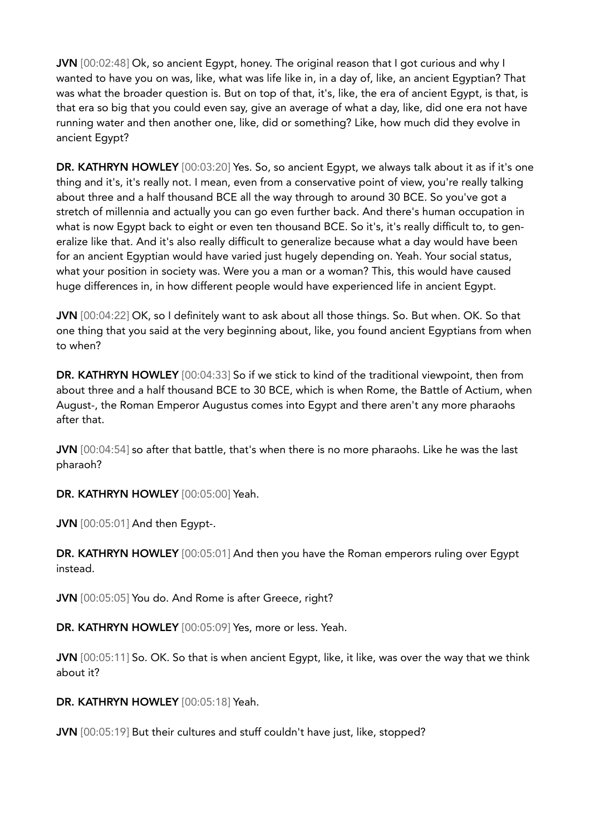JVN [00:02:48] Ok, so ancient Egypt, honey. The original reason that I got curious and why I wanted to have you on was, like, what was life like in, in a day of, like, an ancient Egyptian? That was what the broader question is. But on top of that, it's, like, the era of ancient Egypt, is that, is that era so big that you could even say, give an average of what a day, like, did one era not have running water and then another one, like, did or something? Like, how much did they evolve in ancient Egypt?

DR. KATHRYN HOWLEY [00:03:20] Yes. So, so ancient Egypt, we always talk about it as if it's one thing and it's, it's really not. I mean, even from a conservative point of view, you're really talking about three and a half thousand BCE all the way through to around 30 BCE. So you've got a stretch of millennia and actually you can go even further back. And there's human occupation in what is now Egypt back to eight or even ten thousand BCE. So it's, it's really difficult to, to generalize like that. And it's also really difficult to generalize because what a day would have been for an ancient Egyptian would have varied just hugely depending on. Yeah. Your social status, what your position in society was. Were you a man or a woman? This, this would have caused huge differences in, in how different people would have experienced life in ancient Egypt.

JVN [00:04:22] OK, so I definitely want to ask about all those things. So. But when. OK. So that one thing that you said at the very beginning about, like, you found ancient Egyptians from when to when?

DR. KATHRYN HOWLEY [00:04:33] So if we stick to kind of the traditional viewpoint, then from about three and a half thousand BCE to 30 BCE, which is when Rome, the Battle of Actium, when August-, the Roman Emperor Augustus comes into Egypt and there aren't any more pharaohs after that.

JVN [00:04:54] so after that battle, that's when there is no more pharaohs. Like he was the last pharaoh?

DR. KATHRYN HOWLEY [00:05:00] Yeah.

JVN [00:05:01] And then Egypt-.

DR. KATHRYN HOWLEY [00:05:01] And then you have the Roman emperors ruling over Egypt instead.

JVN [00:05:05] You do. And Rome is after Greece, right?

DR. KATHRYN HOWLEY [00:05:09] Yes, more or less. Yeah.

JVN [00:05:11] So. OK. So that is when ancient Egypt, like, it like, was over the way that we think about it?

DR. KATHRYN HOWLEY [00:05:18] Yeah.

JVN [00:05:19] But their cultures and stuff couldn't have just, like, stopped?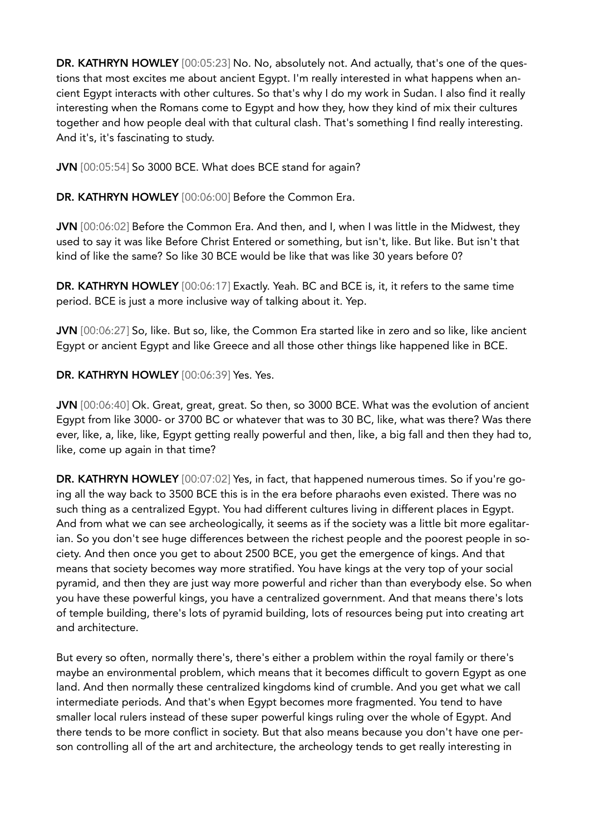DR. KATHRYN HOWLEY [00:05:23] No. No, absolutely not. And actually, that's one of the questions that most excites me about ancient Egypt. I'm really interested in what happens when ancient Egypt interacts with other cultures. So that's why I do my work in Sudan. I also find it really interesting when the Romans come to Egypt and how they, how they kind of mix their cultures together and how people deal with that cultural clash. That's something I find really interesting. And it's, it's fascinating to study.

JVN [00:05:54] So 3000 BCE. What does BCE stand for again?

DR. KATHRYN HOWLEY [00:06:00] Before the Common Era.

JVN [00:06:02] Before the Common Era. And then, and I, when I was little in the Midwest, they used to say it was like Before Christ Entered or something, but isn't, like. But like. But isn't that kind of like the same? So like 30 BCE would be like that was like 30 years before 0?

DR. KATHRYN HOWLEY [00:06:17] Exactly. Yeah. BC and BCE is, it, it refers to the same time period. BCE is just a more inclusive way of talking about it. Yep.

JVN [00:06:27] So, like. But so, like, the Common Era started like in zero and so like, like ancient Egypt or ancient Egypt and like Greece and all those other things like happened like in BCE.

DR. KATHRYN HOWLEY [00:06:39] Yes. Yes.

JVN [00:06:40] Ok. Great, great, great. So then, so 3000 BCE. What was the evolution of ancient Egypt from like 3000- or 3700 BC or whatever that was to 30 BC, like, what was there? Was there ever, like, a, like, like, Egypt getting really powerful and then, like, a big fall and then they had to, like, come up again in that time?

DR. KATHRYN HOWLEY [00:07:02] Yes, in fact, that happened numerous times. So if you're going all the way back to 3500 BCE this is in the era before pharaohs even existed. There was no such thing as a centralized Egypt. You had different cultures living in different places in Egypt. And from what we can see archeologically, it seems as if the society was a little bit more egalitarian. So you don't see huge differences between the richest people and the poorest people in society. And then once you get to about 2500 BCE, you get the emergence of kings. And that means that society becomes way more stratified. You have kings at the very top of your social pyramid, and then they are just way more powerful and richer than than everybody else. So when you have these powerful kings, you have a centralized government. And that means there's lots of temple building, there's lots of pyramid building, lots of resources being put into creating art and architecture.

But every so often, normally there's, there's either a problem within the royal family or there's maybe an environmental problem, which means that it becomes difficult to govern Egypt as one land. And then normally these centralized kingdoms kind of crumble. And you get what we call intermediate periods. And that's when Egypt becomes more fragmented. You tend to have smaller local rulers instead of these super powerful kings ruling over the whole of Egypt. And there tends to be more conflict in society. But that also means because you don't have one person controlling all of the art and architecture, the archeology tends to get really interesting in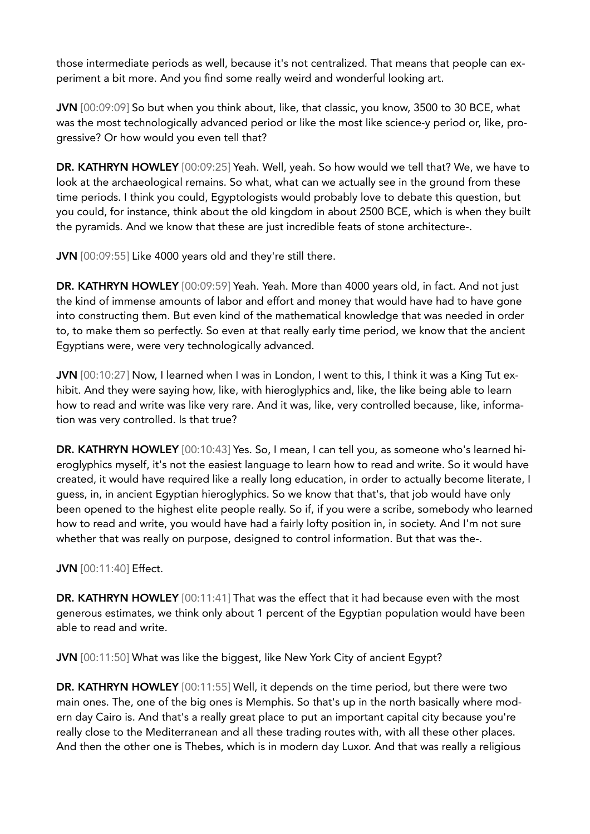those intermediate periods as well, because it's not centralized. That means that people can experiment a bit more. And you find some really weird and wonderful looking art.

JVN [00:09:09] So but when you think about, like, that classic, you know, 3500 to 30 BCE, what was the most technologically advanced period or like the most like science-y period or, like, progressive? Or how would you even tell that?

DR. KATHRYN HOWLEY [00:09:25] Yeah. Well, yeah. So how would we tell that? We, we have to look at the archaeological remains. So what, what can we actually see in the ground from these time periods. I think you could, Egyptologists would probably love to debate this question, but you could, for instance, think about the old kingdom in about 2500 BCE, which is when they built the pyramids. And we know that these are just incredible feats of stone architecture-.

JVN [00:09:55] Like 4000 years old and they're still there.

DR. KATHRYN HOWLEY [00:09:59] Yeah. Yeah. More than 4000 years old, in fact. And not just the kind of immense amounts of labor and effort and money that would have had to have gone into constructing them. But even kind of the mathematical knowledge that was needed in order to, to make them so perfectly. So even at that really early time period, we know that the ancient Egyptians were, were very technologically advanced.

JVN [00:10:27] Now, I learned when I was in London, I went to this, I think it was a King Tut exhibit. And they were saying how, like, with hieroglyphics and, like, the like being able to learn how to read and write was like very rare. And it was, like, very controlled because, like, information was very controlled. Is that true?

DR. KATHRYN HOWLEY [00:10:43] Yes. So, I mean, I can tell you, as someone who's learned hieroglyphics myself, it's not the easiest language to learn how to read and write. So it would have created, it would have required like a really long education, in order to actually become literate, I guess, in, in ancient Egyptian hieroglyphics. So we know that that's, that job would have only been opened to the highest elite people really. So if, if you were a scribe, somebody who learned how to read and write, you would have had a fairly lofty position in, in society. And I'm not sure whether that was really on purpose, designed to control information. But that was the-.

JVN [00:11:40] Effect.

DR. KATHRYN HOWLEY [00:11:41] That was the effect that it had because even with the most generous estimates, we think only about 1 percent of the Egyptian population would have been able to read and write.

JVN [00:11:50] What was like the biggest, like New York City of ancient Egypt?

DR. KATHRYN HOWLEY [00:11:55] Well, it depends on the time period, but there were two main ones. The, one of the big ones is Memphis. So that's up in the north basically where modern day Cairo is. And that's a really great place to put an important capital city because you're really close to the Mediterranean and all these trading routes with, with all these other places. And then the other one is Thebes, which is in modern day Luxor. And that was really a religious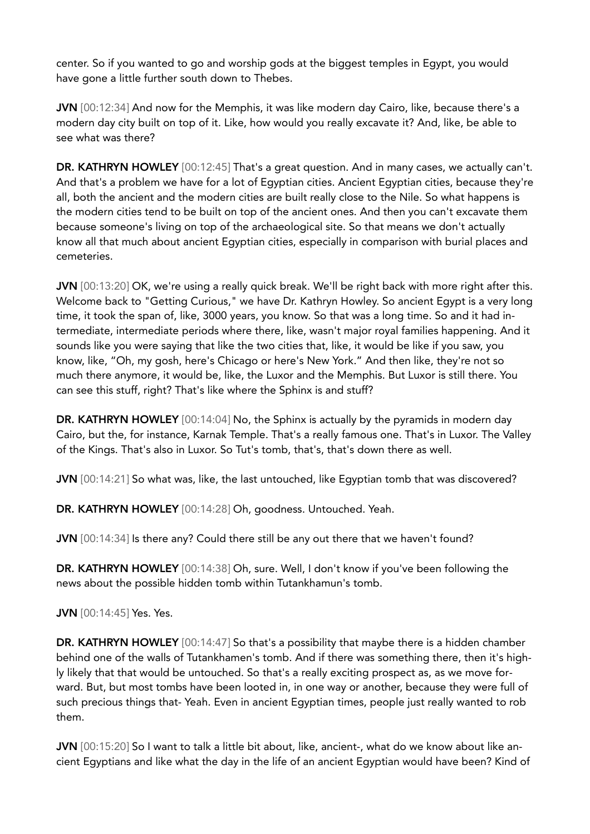center. So if you wanted to go and worship gods at the biggest temples in Egypt, you would have gone a little further south down to Thebes.

JVN [00:12:34] And now for the Memphis, it was like modern day Cairo, like, because there's a modern day city built on top of it. Like, how would you really excavate it? And, like, be able to see what was there?

DR. KATHRYN HOWLEY [00:12:45] That's a great question. And in many cases, we actually can't. And that's a problem we have for a lot of Egyptian cities. Ancient Egyptian cities, because they're all, both the ancient and the modern cities are built really close to the Nile. So what happens is the modern cities tend to be built on top of the ancient ones. And then you can't excavate them because someone's living on top of the archaeological site. So that means we don't actually know all that much about ancient Egyptian cities, especially in comparison with burial places and cemeteries.

JVN [00:13:20] OK, we're using a really quick break. We'll be right back with more right after this. Welcome back to "Getting Curious," we have Dr. Kathryn Howley. So ancient Egypt is a very long time, it took the span of, like, 3000 years, you know. So that was a long time. So and it had intermediate, intermediate periods where there, like, wasn't major royal families happening. And it sounds like you were saying that like the two cities that, like, it would be like if you saw, you know, like, "Oh, my gosh, here's Chicago or here's New York." And then like, they're not so much there anymore, it would be, like, the Luxor and the Memphis. But Luxor is still there. You can see this stuff, right? That's like where the Sphinx is and stuff?

DR. KATHRYN HOWLEY [00:14:04] No, the Sphinx is actually by the pyramids in modern day Cairo, but the, for instance, Karnak Temple. That's a really famous one. That's in Luxor. The Valley of the Kings. That's also in Luxor. So Tut's tomb, that's, that's down there as well.

JVN [00:14:21] So what was, like, the last untouched, like Egyptian tomb that was discovered?

DR. KATHRYN HOWLEY [00:14:28] Oh, goodness. Untouched. Yeah.

JVN [00:14:34] Is there any? Could there still be any out there that we haven't found?

DR. KATHRYN HOWLEY [00:14:38] Oh, sure. Well, I don't know if you've been following the news about the possible hidden tomb within Tutankhamun's tomb.

JVN [00:14:45] Yes. Yes.

DR. KATHRYN HOWLEY [00:14:47] So that's a possibility that maybe there is a hidden chamber behind one of the walls of Tutankhamen's tomb. And if there was something there, then it's highly likely that that would be untouched. So that's a really exciting prospect as, as we move forward. But, but most tombs have been looted in, in one way or another, because they were full of such precious things that- Yeah. Even in ancient Egyptian times, people just really wanted to rob them.

JVN [00:15:20] So I want to talk a little bit about, like, ancient-, what do we know about like ancient Egyptians and like what the day in the life of an ancient Egyptian would have been? Kind of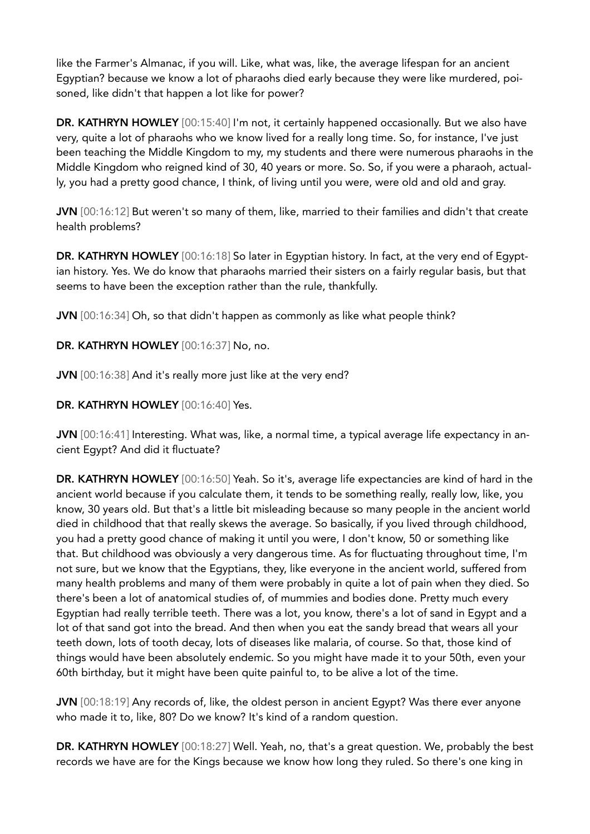like the Farmer's Almanac, if you will. Like, what was, like, the average lifespan for an ancient Egyptian? because we know a lot of pharaohs died early because they were like murdered, poisoned, like didn't that happen a lot like for power?

DR. KATHRYN HOWLEY [00:15:40] I'm not, it certainly happened occasionally. But we also have very, quite a lot of pharaohs who we know lived for a really long time. So, for instance, I've just been teaching the Middle Kingdom to my, my students and there were numerous pharaohs in the Middle Kingdom who reigned kind of 30, 40 years or more. So. So, if you were a pharaoh, actually, you had a pretty good chance, I think, of living until you were, were old and old and gray.

JVN [00:16:12] But weren't so many of them, like, married to their families and didn't that create health problems?

DR. KATHRYN HOWLEY [00:16:18] So later in Egyptian history. In fact, at the very end of Egyptian history. Yes. We do know that pharaohs married their sisters on a fairly regular basis, but that seems to have been the exception rather than the rule, thankfully.

JVN [00:16:34] Oh, so that didn't happen as commonly as like what people think?

DR. KATHRYN HOWLEY [00:16:37] No, no.

JVN [00:16:38] And it's really more just like at the very end?

DR. KATHRYN HOWLEY [00:16:40] Yes.

JVN [00:16:41] Interesting. What was, like, a normal time, a typical average life expectancy in ancient Egypt? And did it fluctuate?

DR. KATHRYN HOWLEY [00:16:50] Yeah. So it's, average life expectancies are kind of hard in the ancient world because if you calculate them, it tends to be something really, really low, like, you know, 30 years old. But that's a little bit misleading because so many people in the ancient world died in childhood that that really skews the average. So basically, if you lived through childhood, you had a pretty good chance of making it until you were, I don't know, 50 or something like that. But childhood was obviously a very dangerous time. As for fluctuating throughout time, I'm not sure, but we know that the Egyptians, they, like everyone in the ancient world, suffered from many health problems and many of them were probably in quite a lot of pain when they died. So there's been a lot of anatomical studies of, of mummies and bodies done. Pretty much every Egyptian had really terrible teeth. There was a lot, you know, there's a lot of sand in Egypt and a lot of that sand got into the bread. And then when you eat the sandy bread that wears all your teeth down, lots of tooth decay, lots of diseases like malaria, of course. So that, those kind of things would have been absolutely endemic. So you might have made it to your 50th, even your 60th birthday, but it might have been quite painful to, to be alive a lot of the time.

JVN [00:18:19] Any records of, like, the oldest person in ancient Egypt? Was there ever anyone who made it to, like, 80? Do we know? It's kind of a random question.

DR. KATHRYN HOWLEY [00:18:27] Well. Yeah, no, that's a great question. We, probably the best records we have are for the Kings because we know how long they ruled. So there's one king in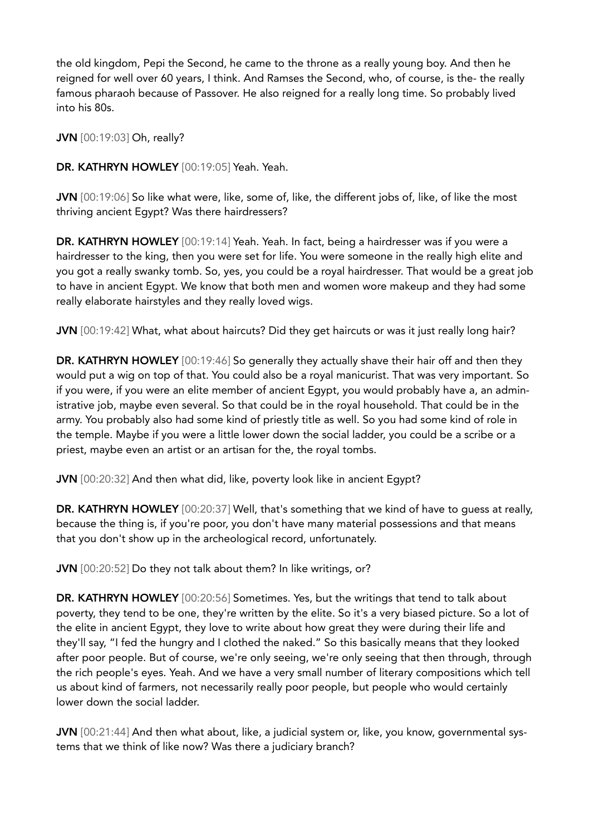the old kingdom, Pepi the Second, he came to the throne as a really young boy. And then he reigned for well over 60 years, I think. And Ramses the Second, who, of course, is the- the really famous pharaoh because of Passover. He also reigned for a really long time. So probably lived into his 80s.

JVN [00:19:03] Oh, really?

DR. KATHRYN HOWLEY [00:19:05] Yeah. Yeah.

JVN [00:19:06] So like what were, like, some of, like, the different jobs of, like, of like the most thriving ancient Egypt? Was there hairdressers?

DR. KATHRYN HOWLEY [00:19:14] Yeah. Yeah. In fact, being a hairdresser was if you were a hairdresser to the king, then you were set for life. You were someone in the really high elite and you got a really swanky tomb. So, yes, you could be a royal hairdresser. That would be a great job to have in ancient Egypt. We know that both men and women wore makeup and they had some really elaborate hairstyles and they really loved wigs.

JVN [00:19:42] What, what about haircuts? Did they get haircuts or was it just really long hair?

DR. KATHRYN HOWLEY [00:19:46] So generally they actually shave their hair off and then they would put a wig on top of that. You could also be a royal manicurist. That was very important. So if you were, if you were an elite member of ancient Egypt, you would probably have a, an administrative job, maybe even several. So that could be in the royal household. That could be in the army. You probably also had some kind of priestly title as well. So you had some kind of role in the temple. Maybe if you were a little lower down the social ladder, you could be a scribe or a priest, maybe even an artist or an artisan for the, the royal tombs.

JVN [00:20:32] And then what did, like, poverty look like in ancient Egypt?

DR. KATHRYN HOWLEY [00:20:37] Well, that's something that we kind of have to guess at really, because the thing is, if you're poor, you don't have many material possessions and that means that you don't show up in the archeological record, unfortunately.

JVN [00:20:52] Do they not talk about them? In like writings, or?

DR. KATHRYN HOWLEY [00:20:56] Sometimes. Yes, but the writings that tend to talk about poverty, they tend to be one, they're written by the elite. So it's a very biased picture. So a lot of the elite in ancient Egypt, they love to write about how great they were during their life and they'll say, "I fed the hungry and I clothed the naked." So this basically means that they looked after poor people. But of course, we're only seeing, we're only seeing that then through, through the rich people's eyes. Yeah. And we have a very small number of literary compositions which tell us about kind of farmers, not necessarily really poor people, but people who would certainly lower down the social ladder.

JVN [00:21:44] And then what about, like, a judicial system or, like, you know, governmental systems that we think of like now? Was there a judiciary branch?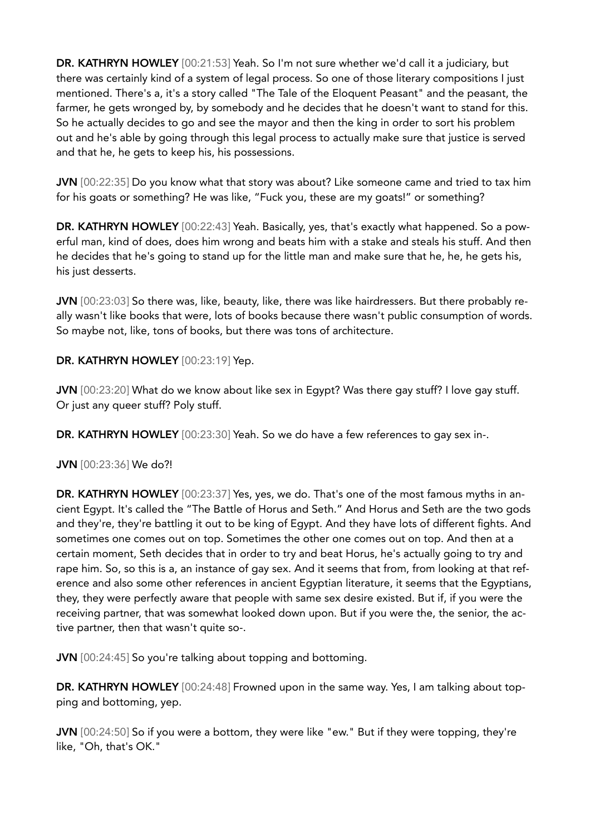DR. KATHRYN HOWLEY [00:21:53] Yeah. So I'm not sure whether we'd call it a judiciary, but there was certainly kind of a system of legal process. So one of those literary compositions I just mentioned. There's a, it's a story called "The Tale of the Eloquent Peasant" and the peasant, the farmer, he gets wronged by, by somebody and he decides that he doesn't want to stand for this. So he actually decides to go and see the mayor and then the king in order to sort his problem out and he's able by going through this legal process to actually make sure that justice is served and that he, he gets to keep his, his possessions.

JVN [00:22:35] Do you know what that story was about? Like someone came and tried to tax him for his goats or something? He was like, "Fuck you, these are my goats!" or something?

DR. KATHRYN HOWLEY [00:22:43] Yeah. Basically, yes, that's exactly what happened. So a powerful man, kind of does, does him wrong and beats him with a stake and steals his stuff. And then he decides that he's going to stand up for the little man and make sure that he, he, he gets his, his just desserts.

JVN [00:23:03] So there was, like, beauty, like, there was like hairdressers. But there probably really wasn't like books that were, lots of books because there wasn't public consumption of words. So maybe not, like, tons of books, but there was tons of architecture.

DR. KATHRYN HOWLEY [00:23:19] Yep.

JVN [00:23:20] What do we know about like sex in Egypt? Was there gay stuff? I love gay stuff. Or just any queer stuff? Poly stuff.

DR. KATHRYN HOWLEY [00:23:30] Yeah. So we do have a few references to gay sex in-.

JVN [00:23:36] We do?!

DR. KATHRYN HOWLEY [00:23:37] Yes, yes, we do. That's one of the most famous myths in ancient Egypt. It's called the "The Battle of Horus and Seth." And Horus and Seth are the two gods and they're, they're battling it out to be king of Egypt. And they have lots of different fights. And sometimes one comes out on top. Sometimes the other one comes out on top. And then at a certain moment, Seth decides that in order to try and beat Horus, he's actually going to try and rape him. So, so this is a, an instance of gay sex. And it seems that from, from looking at that reference and also some other references in ancient Egyptian literature, it seems that the Egyptians, they, they were perfectly aware that people with same sex desire existed. But if, if you were the receiving partner, that was somewhat looked down upon. But if you were the, the senior, the active partner, then that wasn't quite so-.

JVN [00:24:45] So you're talking about topping and bottoming.

DR. KATHRYN HOWLEY [00:24:48] Frowned upon in the same way. Yes, I am talking about topping and bottoming, yep.

JVN [00:24:50] So if you were a bottom, they were like "ew." But if they were topping, they're like, "Oh, that's OK."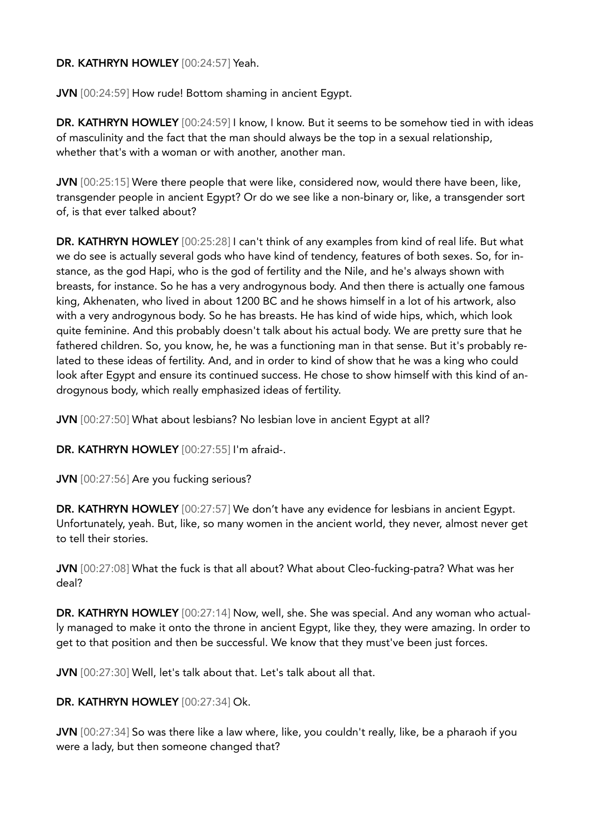#### DR. KATHRYN HOWLEY [00:24:57] Yeah.

JVN [00:24:59] How rude! Bottom shaming in ancient Egypt.

DR. KATHRYN HOWLEY [00:24:59] I know, I know. But it seems to be somehow tied in with ideas of masculinity and the fact that the man should always be the top in a sexual relationship, whether that's with a woman or with another, another man.

JVN [00:25:15] Were there people that were like, considered now, would there have been, like, transgender people in ancient Egypt? Or do we see like a non-binary or, like, a transgender sort of, is that ever talked about?

DR. KATHRYN HOWLEY [00:25:28] I can't think of any examples from kind of real life. But what we do see is actually several gods who have kind of tendency, features of both sexes. So, for instance, as the god Hapi, who is the god of fertility and the Nile, and he's always shown with breasts, for instance. So he has a very androgynous body. And then there is actually one famous king, Akhenaten, who lived in about 1200 BC and he shows himself in a lot of his artwork, also with a very androgynous body. So he has breasts. He has kind of wide hips, which, which look quite feminine. And this probably doesn't talk about his actual body. We are pretty sure that he fathered children. So, you know, he, he was a functioning man in that sense. But it's probably related to these ideas of fertility. And, and in order to kind of show that he was a king who could look after Egypt and ensure its continued success. He chose to show himself with this kind of androgynous body, which really emphasized ideas of fertility.

JVN [00:27:50] What about lesbians? No lesbian love in ancient Egypt at all?

DR. KATHRYN HOWLEY [00:27:55] I'm afraid-.

JVN [00:27:56] Are you fucking serious?

DR. KATHRYN HOWLEY [00:27:57] We don't have any evidence for lesbians in ancient Egypt. Unfortunately, yeah. But, like, so many women in the ancient world, they never, almost never get to tell their stories.

JVN [00:27:08] What the fuck is that all about? What about Cleo-fucking-patra? What was her deal?

DR. KATHRYN HOWLEY [00:27:14] Now, well, she. She was special. And any woman who actually managed to make it onto the throne in ancient Egypt, like they, they were amazing. In order to get to that position and then be successful. We know that they must've been just forces.

JVN [00:27:30] Well, let's talk about that. Let's talk about all that.

DR. KATHRYN HOWLEY [00:27:34] Ok.

JVN [00:27:34] So was there like a law where, like, you couldn't really, like, be a pharaoh if you were a lady, but then someone changed that?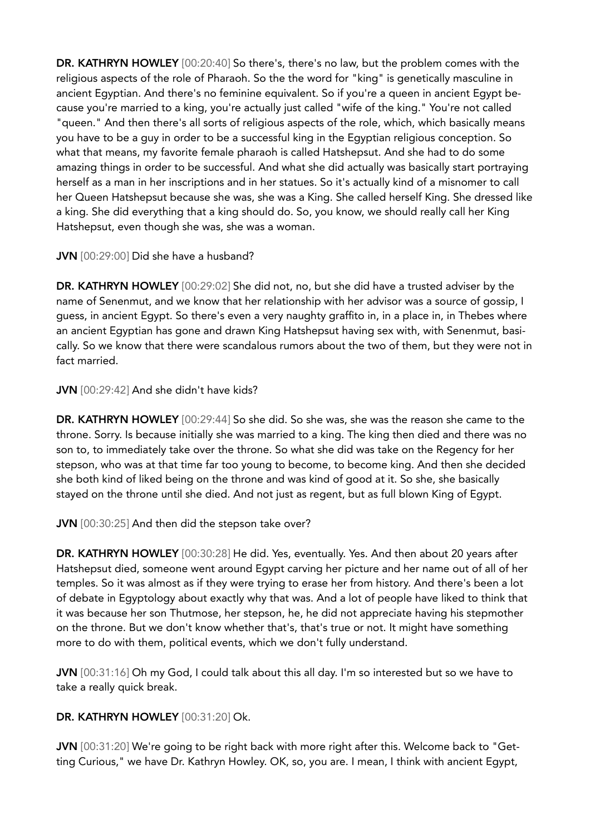DR. KATHRYN HOWLEY [00:20:40] So there's, there's no law, but the problem comes with the religious aspects of the role of Pharaoh. So the the word for "king" is genetically masculine in ancient Egyptian. And there's no feminine equivalent. So if you're a queen in ancient Egypt because you're married to a king, you're actually just called "wife of the king." You're not called "queen." And then there's all sorts of religious aspects of the role, which, which basically means you have to be a guy in order to be a successful king in the Egyptian religious conception. So what that means, my favorite female pharaoh is called Hatshepsut. And she had to do some amazing things in order to be successful. And what she did actually was basically start portraying herself as a man in her inscriptions and in her statues. So it's actually kind of a misnomer to call her Queen Hatshepsut because she was, she was a King. She called herself King. She dressed like a king. She did everything that a king should do. So, you know, we should really call her King Hatshepsut, even though she was, she was a woman.

### JVN [00:29:00] Did she have a husband?

DR. KATHRYN HOWLEY [00:29:02] She did not, no, but she did have a trusted adviser by the name of Senenmut, and we know that her relationship with her advisor was a source of gossip, I guess, in ancient Egypt. So there's even a very naughty graffito in, in a place in, in Thebes where an ancient Egyptian has gone and drawn King Hatshepsut having sex with, with Senenmut, basically. So we know that there were scandalous rumors about the two of them, but they were not in fact married.

### JVN [00:29:42] And she didn't have kids?

DR. KATHRYN HOWLEY [00:29:44] So she did. So she was, she was the reason she came to the throne. Sorry. Is because initially she was married to a king. The king then died and there was no son to, to immediately take over the throne. So what she did was take on the Regency for her stepson, who was at that time far too young to become, to become king. And then she decided she both kind of liked being on the throne and was kind of good at it. So she, she basically stayed on the throne until she died. And not just as regent, but as full blown King of Egypt.

## JVN [00:30:25] And then did the stepson take over?

DR. KATHRYN HOWLEY [00:30:28] He did. Yes, eventually. Yes. And then about 20 years after Hatshepsut died, someone went around Egypt carving her picture and her name out of all of her temples. So it was almost as if they were trying to erase her from history. And there's been a lot of debate in Egyptology about exactly why that was. And a lot of people have liked to think that it was because her son Thutmose, her stepson, he, he did not appreciate having his stepmother on the throne. But we don't know whether that's, that's true or not. It might have something more to do with them, political events, which we don't fully understand.

JVN [00:31:16] Oh my God, I could talk about this all day. I'm so interested but so we have to take a really quick break.

## DR. KATHRYN HOWLEY [00:31:20] Ok.

JVN [00:31:20] We're going to be right back with more right after this. Welcome back to "Getting Curious," we have Dr. Kathryn Howley. OK, so, you are. I mean, I think with ancient Egypt,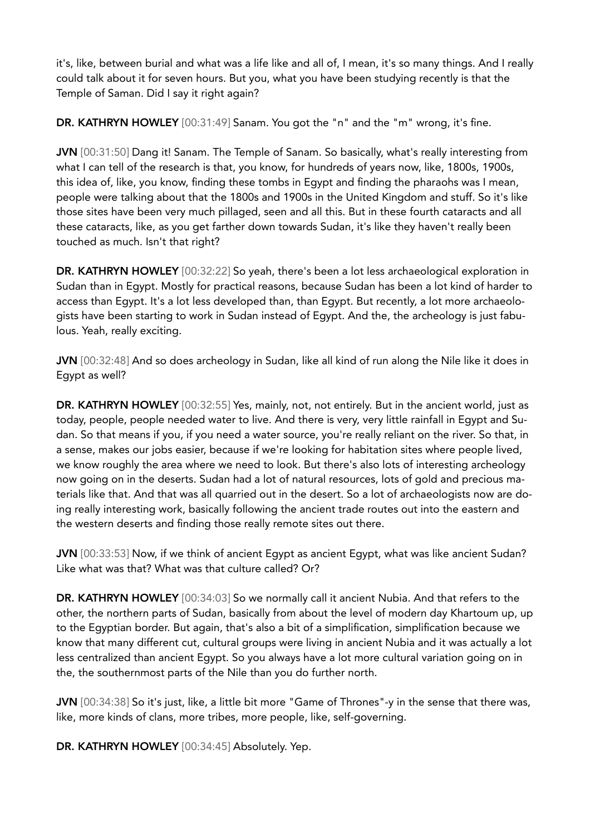it's, like, between burial and what was a life like and all of, I mean, it's so many things. And I really could talk about it for seven hours. But you, what you have been studying recently is that the Temple of Saman. Did I say it right again?

DR. KATHRYN HOWLEY [00:31:49] Sanam. You got the "n" and the "m" wrong, it's fine.

JVN [00:31:50] Dang it! Sanam. The Temple of Sanam. So basically, what's really interesting from what I can tell of the research is that, you know, for hundreds of years now, like, 1800s, 1900s, this idea of, like, you know, finding these tombs in Egypt and finding the pharaohs was I mean, people were talking about that the 1800s and 1900s in the United Kingdom and stuff. So it's like those sites have been very much pillaged, seen and all this. But in these fourth cataracts and all these cataracts, like, as you get farther down towards Sudan, it's like they haven't really been touched as much. Isn't that right?

DR. KATHRYN HOWLEY [00:32:22] So yeah, there's been a lot less archaeological exploration in Sudan than in Egypt. Mostly for practical reasons, because Sudan has been a lot kind of harder to access than Egypt. It's a lot less developed than, than Egypt. But recently, a lot more archaeologists have been starting to work in Sudan instead of Egypt. And the, the archeology is just fabulous. Yeah, really exciting.

JVN [00:32:48] And so does archeology in Sudan, like all kind of run along the Nile like it does in Egypt as well?

DR. KATHRYN HOWLEY [00:32:55] Yes, mainly, not, not entirely. But in the ancient world, just as today, people, people needed water to live. And there is very, very little rainfall in Egypt and Sudan. So that means if you, if you need a water source, you're really reliant on the river. So that, in a sense, makes our jobs easier, because if we're looking for habitation sites where people lived, we know roughly the area where we need to look. But there's also lots of interesting archeology now going on in the deserts. Sudan had a lot of natural resources, lots of gold and precious materials like that. And that was all quarried out in the desert. So a lot of archaeologists now are doing really interesting work, basically following the ancient trade routes out into the eastern and the western deserts and finding those really remote sites out there.

JVN [00:33:53] Now, if we think of ancient Egypt as ancient Egypt, what was like ancient Sudan? Like what was that? What was that culture called? Or?

DR. KATHRYN HOWLEY [00:34:03] So we normally call it ancient Nubia. And that refers to the other, the northern parts of Sudan, basically from about the level of modern day Khartoum up, up to the Egyptian border. But again, that's also a bit of a simplification, simplification because we know that many different cut, cultural groups were living in ancient Nubia and it was actually a lot less centralized than ancient Egypt. So you always have a lot more cultural variation going on in the, the southernmost parts of the Nile than you do further north.

JVN [00:34:38] So it's just, like, a little bit more "Game of Thrones"-y in the sense that there was, like, more kinds of clans, more tribes, more people, like, self-governing.

DR. KATHRYN HOWLEY [00:34:45] Absolutely. Yep.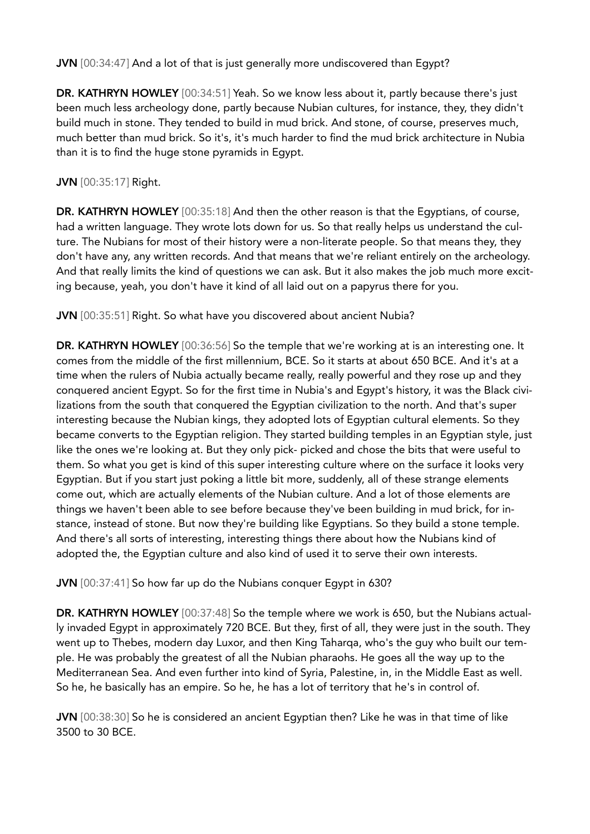JVN [00:34:47] And a lot of that is just generally more undiscovered than Egypt?

DR. KATHRYN HOWLEY [00:34:51] Yeah. So we know less about it, partly because there's just been much less archeology done, partly because Nubian cultures, for instance, they, they didn't build much in stone. They tended to build in mud brick. And stone, of course, preserves much, much better than mud brick. So it's, it's much harder to find the mud brick architecture in Nubia than it is to find the huge stone pyramids in Egypt.

JVN [00:35:17] Right.

DR. KATHRYN HOWLEY [00:35:18] And then the other reason is that the Egyptians, of course, had a written language. They wrote lots down for us. So that really helps us understand the culture. The Nubians for most of their history were a non-literate people. So that means they, they don't have any, any written records. And that means that we're reliant entirely on the archeology. And that really limits the kind of questions we can ask. But it also makes the job much more exciting because, yeah, you don't have it kind of all laid out on a papyrus there for you.

JVN [00:35:51] Right. So what have you discovered about ancient Nubia?

DR. KATHRYN HOWLEY [00:36:56] So the temple that we're working at is an interesting one. It comes from the middle of the first millennium, BCE. So it starts at about 650 BCE. And it's at a time when the rulers of Nubia actually became really, really powerful and they rose up and they conquered ancient Egypt. So for the first time in Nubia's and Egypt's history, it was the Black civilizations from the south that conquered the Egyptian civilization to the north. And that's super interesting because the Nubian kings, they adopted lots of Egyptian cultural elements. So they became converts to the Egyptian religion. They started building temples in an Egyptian style, just like the ones we're looking at. But they only pick- picked and chose the bits that were useful to them. So what you get is kind of this super interesting culture where on the surface it looks very Egyptian. But if you start just poking a little bit more, suddenly, all of these strange elements come out, which are actually elements of the Nubian culture. And a lot of those elements are things we haven't been able to see before because they've been building in mud brick, for instance, instead of stone. But now they're building like Egyptians. So they build a stone temple. And there's all sorts of interesting, interesting things there about how the Nubians kind of adopted the, the Egyptian culture and also kind of used it to serve their own interests.

JVN [00:37:41] So how far up do the Nubians conquer Egypt in 630?

DR. KATHRYN HOWLEY [00:37:48] So the temple where we work is 650, but the Nubians actually invaded Egypt in approximately 720 BCE. But they, first of all, they were just in the south. They went up to Thebes, modern day Luxor, and then King Taharqa, who's the guy who built our temple. He was probably the greatest of all the Nubian pharaohs. He goes all the way up to the Mediterranean Sea. And even further into kind of Syria, Palestine, in, in the Middle East as well. So he, he basically has an empire. So he, he has a lot of territory that he's in control of.

JVN [00:38:30] So he is considered an ancient Egyptian then? Like he was in that time of like 3500 to 30 BCE.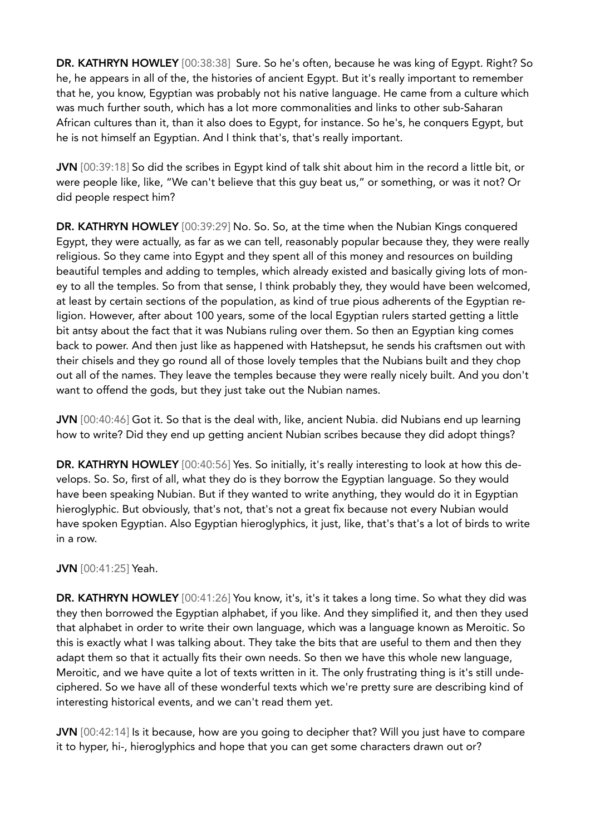DR. KATHRYN HOWLEY [00:38:38] Sure. So he's often, because he was king of Egypt. Right? So he, he appears in all of the, the histories of ancient Egypt. But it's really important to remember that he, you know, Egyptian was probably not his native language. He came from a culture which was much further south, which has a lot more commonalities and links to other sub-Saharan African cultures than it, than it also does to Egypt, for instance. So he's, he conquers Egypt, but he is not himself an Egyptian. And I think that's, that's really important.

JVN [00:39:18] So did the scribes in Egypt kind of talk shit about him in the record a little bit, or were people like, like, "We can't believe that this guy beat us," or something, or was it not? Or did people respect him?

DR. KATHRYN HOWLEY [00:39:29] No. So. So, at the time when the Nubian Kings conquered Egypt, they were actually, as far as we can tell, reasonably popular because they, they were really religious. So they came into Egypt and they spent all of this money and resources on building beautiful temples and adding to temples, which already existed and basically giving lots of money to all the temples. So from that sense, I think probably they, they would have been welcomed, at least by certain sections of the population, as kind of true pious adherents of the Egyptian religion. However, after about 100 years, some of the local Egyptian rulers started getting a little bit antsy about the fact that it was Nubians ruling over them. So then an Egyptian king comes back to power. And then just like as happened with Hatshepsut, he sends his craftsmen out with their chisels and they go round all of those lovely temples that the Nubians built and they chop out all of the names. They leave the temples because they were really nicely built. And you don't want to offend the gods, but they just take out the Nubian names.

JVN [00:40:46] Got it. So that is the deal with, like, ancient Nubia. did Nubians end up learning how to write? Did they end up getting ancient Nubian scribes because they did adopt things?

DR. KATHRYN HOWLEY [00:40:56] Yes. So initially, it's really interesting to look at how this develops. So. So, first of all, what they do is they borrow the Egyptian language. So they would have been speaking Nubian. But if they wanted to write anything, they would do it in Egyptian hieroglyphic. But obviously, that's not, that's not a great fix because not every Nubian would have spoken Egyptian. Also Egyptian hieroglyphics, it just, like, that's that's a lot of birds to write in a row.

JVN [00:41:25] Yeah.

DR. KATHRYN HOWLEY [00:41:26] You know, it's, it's it takes a long time. So what they did was they then borrowed the Egyptian alphabet, if you like. And they simplified it, and then they used that alphabet in order to write their own language, which was a language known as Meroitic. So this is exactly what I was talking about. They take the bits that are useful to them and then they adapt them so that it actually fits their own needs. So then we have this whole new language, Meroitic, and we have quite a lot of texts written in it. The only frustrating thing is it's still undeciphered. So we have all of these wonderful texts which we're pretty sure are describing kind of interesting historical events, and we can't read them yet.

JVN [00:42:14] Is it because, how are you going to decipher that? Will you just have to compare it to hyper, hi-, hieroglyphics and hope that you can get some characters drawn out or?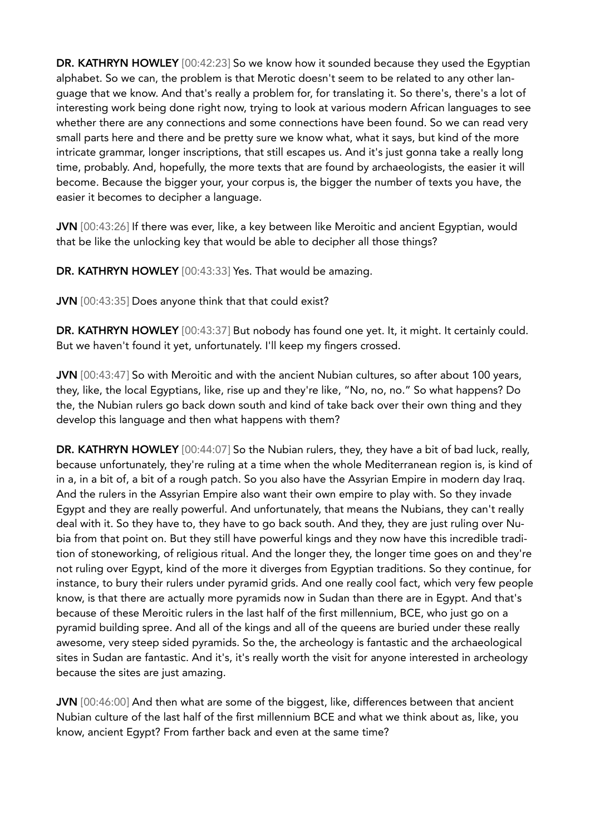DR. KATHRYN HOWLEY [00:42:23] So we know how it sounded because they used the Egyptian alphabet. So we can, the problem is that Merotic doesn't seem to be related to any other language that we know. And that's really a problem for, for translating it. So there's, there's a lot of interesting work being done right now, trying to look at various modern African languages to see whether there are any connections and some connections have been found. So we can read very small parts here and there and be pretty sure we know what, what it says, but kind of the more intricate grammar, longer inscriptions, that still escapes us. And it's just gonna take a really long time, probably. And, hopefully, the more texts that are found by archaeologists, the easier it will become. Because the bigger your, your corpus is, the bigger the number of texts you have, the easier it becomes to decipher a language.

JVN [00:43:26] If there was ever, like, a key between like Meroitic and ancient Egyptian, would that be like the unlocking key that would be able to decipher all those things?

DR. KATHRYN HOWLEY [00:43:33] Yes. That would be amazing.

JVN [00:43:35] Does anyone think that that could exist?

DR. KATHRYN HOWLEY [00:43:37] But nobody has found one yet. It, it might. It certainly could. But we haven't found it yet, unfortunately. I'll keep my fingers crossed.

JVN [00:43:47] So with Meroitic and with the ancient Nubian cultures, so after about 100 years, they, like, the local Egyptians, like, rise up and they're like, "No, no, no." So what happens? Do the, the Nubian rulers go back down south and kind of take back over their own thing and they develop this language and then what happens with them?

DR. KATHRYN HOWLEY [00:44:07] So the Nubian rulers, they, they have a bit of bad luck, really, because unfortunately, they're ruling at a time when the whole Mediterranean region is, is kind of in a, in a bit of, a bit of a rough patch. So you also have the Assyrian Empire in modern day Iraq. And the rulers in the Assyrian Empire also want their own empire to play with. So they invade Egypt and they are really powerful. And unfortunately, that means the Nubians, they can't really deal with it. So they have to, they have to go back south. And they, they are just ruling over Nubia from that point on. But they still have powerful kings and they now have this incredible tradition of stoneworking, of religious ritual. And the longer they, the longer time goes on and they're not ruling over Egypt, kind of the more it diverges from Egyptian traditions. So they continue, for instance, to bury their rulers under pyramid grids. And one really cool fact, which very few people know, is that there are actually more pyramids now in Sudan than there are in Egypt. And that's because of these Meroitic rulers in the last half of the first millennium, BCE, who just go on a pyramid building spree. And all of the kings and all of the queens are buried under these really awesome, very steep sided pyramids. So the, the archeology is fantastic and the archaeological sites in Sudan are fantastic. And it's, it's really worth the visit for anyone interested in archeology because the sites are just amazing.

JVN [00:46:00] And then what are some of the biggest, like, differences between that ancient Nubian culture of the last half of the first millennium BCE and what we think about as, like, you know, ancient Egypt? From farther back and even at the same time?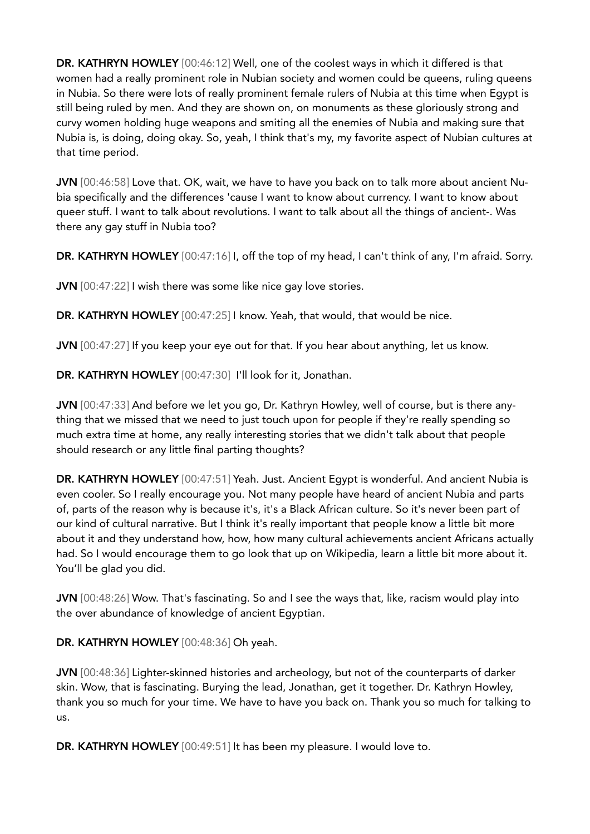DR. KATHRYN HOWLEY [00:46:12] Well, one of the coolest ways in which it differed is that women had a really prominent role in Nubian society and women could be queens, ruling queens in Nubia. So there were lots of really prominent female rulers of Nubia at this time when Egypt is still being ruled by men. And they are shown on, on monuments as these gloriously strong and curvy women holding huge weapons and smiting all the enemies of Nubia and making sure that Nubia is, is doing, doing okay. So, yeah, I think that's my, my favorite aspect of Nubian cultures at that time period.

JVN [00:46:58] Love that. OK, wait, we have to have you back on to talk more about ancient Nubia specifically and the differences 'cause I want to know about currency. I want to know about queer stuff. I want to talk about revolutions. I want to talk about all the things of ancient-. Was there any gay stuff in Nubia too?

DR. KATHRYN HOWLEY [00:47:16] I, off the top of my head, I can't think of any, I'm afraid. Sorry.

JVN [00:47:22] I wish there was some like nice gay love stories.

DR. KATHRYN HOWLEY [00:47:25] I know. Yeah, that would, that would be nice.

JVN [00:47:27] If you keep your eye out for that. If you hear about anything, let us know.

DR. KATHRYN HOWLEY [00:47:30] I'll look for it, Jonathan.

JVN [00:47:33] And before we let you go, Dr. Kathryn Howley, well of course, but is there anything that we missed that we need to just touch upon for people if they're really spending so much extra time at home, any really interesting stories that we didn't talk about that people should research or any little final parting thoughts?

DR. KATHRYN HOWLEY [00:47:51] Yeah. Just. Ancient Egypt is wonderful. And ancient Nubia is even cooler. So I really encourage you. Not many people have heard of ancient Nubia and parts of, parts of the reason why is because it's, it's a Black African culture. So it's never been part of our kind of cultural narrative. But I think it's really important that people know a little bit more about it and they understand how, how, how many cultural achievements ancient Africans actually had. So I would encourage them to go look that up on Wikipedia, learn a little bit more about it. You'll be glad you did.

JVN [00:48:26] Wow. That's fascinating. So and I see the ways that, like, racism would play into the over abundance of knowledge of ancient Egyptian.

DR. KATHRYN HOWLEY [00:48:36] Oh yeah.

JVN [00:48:36] Lighter-skinned histories and archeology, but not of the counterparts of darker skin. Wow, that is fascinating. Burying the lead, Jonathan, get it together. Dr. Kathryn Howley, thank you so much for your time. We have to have you back on. Thank you so much for talking to us.

DR. KATHRYN HOWLEY [00:49:51] It has been my pleasure. I would love to.